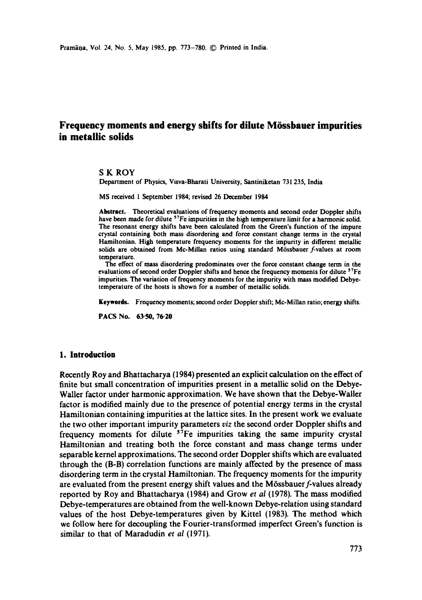# **Frequency moments and energy shifts for dilute M6ssbauer impurities in metallic solids**

S K ROY

Department of Physics, Visva-Bharati University, Santiniketan 731 235, India

MS received 1 September 1984; revised 26 December 1984

Abstract. Theoretical evaluations of frequency moments and second order Doppler shifts have been made for dilute <sup>57</sup>Fe impurities in the high temperature limit for a harmonic solid. The resonant energy shifts have been calculated from the Green's function of the impure crystal containing both mass disordering and force constant change terms in the crystal Hamiitonian. High temperature frequency moments for the impurity in different metallic solids are obtained from Mc-Millan ratios using standard Mössbauer f-values at room temperature.

The effect of mass disordering predominates over the force constant change term in **the**  evaluations of second order Doppler shifts and hence the frequency moments for dilute  $57Fe$ impurities. The variation of frequency moments for the impurity with mass modified Debyetemperature of the hosts is shown for a number of metallic solids.

**Keywords.** Frequency moments; second order Doppler shift; Mc-Millan ratio; energy shifts.

PACS No. 63-50, 76.20

## **1. Introduction**

Recently Roy and Bhattacharya (1984) presented an explicit calculation on the effect of finite but small concentration of impurities present in a metallic solid on the Debye-Waller factor under harmonic approximation. We have shown that the Debye-Wailer factor is modified mainly due to the presence of potential energy terms in the crystal Hamiltonian containing impurities at the lattice sites. In the present work we evaluate the two other important impurity parameters *viz* the second order Doppler shifts and frequency moments for dilute  $57Fe$  impurities taking the same impurity crystal Hamiltonian and treating both the force constant and mass change terms under separable kernel approximations. The second order Doppler shifts which are evaluated through the (B-B) correlation functions are mainly affected by the presence of mass disordering term in the crystal Hamiltonian. The frequency moments for the impurity are evaluated from the present energy shift values and the Mössbauer f-values already reported by Roy and Bhattacharya (1984) and Grow *et al* (1978). The mass modified Debye-temperatures are obtained from the well-known Debye-relation using standard values of the host Debye-temperatures given by Kittel (1983). The method which we follow here for decoupling the Fourier-transformed imperfect Green's function is similar to that of Maradudin *et al* (1971).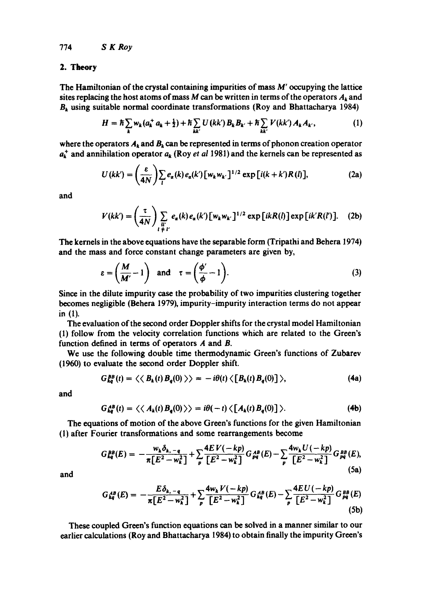#### 2. **Theory**

The Hamiltonian of the crystal containing impurities of mass  $M'$  occupying the lattice sites replacing the host atoms of mass M can be written in terms of the operators  $A_k$  and  $B_k$  using suitable normal coordinate transformations (Roy and Bhattacharya 1984)

$$
H = \hbar \sum_{k} w_{k} (a_{k}^{+} a_{k} + \frac{1}{2}) + \hbar \sum_{kk'} U(kk') B_{k} B_{k'} + \hbar \sum_{kk'} V(kk') A_{k} A_{k'}, \qquad (1)
$$

where the operators  $A_k$  and  $B_k$  can be represented in terms of phonon creation operator  $a_{\mathbf{k}}^{+}$  and annihilation operator  $a_{\mathbf{k}}$  (Roy *et al* 1981) and the kernels can be represented as

$$
U(kk') = \left(\frac{\varepsilon}{4N}\right) \sum_{l} e_{\alpha}(k) e_{\alpha}(k') \left[w_k w_{k'}\right]^{1/2} \exp\left[i(k+k')R(l)\right],\tag{2a}
$$

and

$$
V(kk') = \left(\frac{\tau}{4N}\right) \sum_{\substack{l''\\l+1'}} e_{\alpha}(k) e_{\alpha}(k') \left[w_k w_{k'}\right]^{1/2} \exp\left[i k R(l)\right] \exp\left[i k' R(l')\right]. \tag{2b}
$$

The kernels in the above equations have the separable form (Tripathi and Behera 1974) and the mass and force constant change parameters are given by,

$$
\varepsilon = \left(\frac{M}{M'} - 1\right) \quad \text{and} \quad \tau = \left(\frac{\phi'}{\phi} - 1\right). \tag{3}
$$

Since in the dilute impurity case the probability of two impurities clustering together becomes negligible (Bebera 1979), impurity-impurity interaction terms do not appear in (1).

The evaluation of the second order Doppler shifts for the crystal model Hamiltonian (l) follow from the velocity correlation functions which are related to the Green's function defined in terms of operators A and B.

We use the following double time thermodynamic Green's functions of Zubarev (1960) to evaluate the second order Doppler shift.

$$
G_{kq}^{BB}(t) = \langle \langle B_k(t) B_q(0) \rangle \rangle = -i\theta(t) \langle [B_k(t) B_q(0)] \rangle, \tag{4a}
$$

and

$$
G_{kq}^{AB}(t) = \langle \langle A_k(t) B_q(0) \rangle \rangle = i\theta(-t) \langle [A_k(t) B_q(0)] \rangle.
$$
 (4b)

The equations of motion of the above Green's functions for the given Hamiltonian (I) after Fourier transformations and some rearrangements become

$$
G_{kq}^{BB}(E) = -\frac{w_k \delta_{k,-q}}{\pi \left[E^2 - w_k^2\right]} + \sum_{p} \frac{4EV(-kp)}{\left[E^2 - w_k^2\right]} G_{pq}^{AB}(E) - \sum_{p} \frac{4w_k U(-kp)}{\left[E^2 - w_k^2\right]} G_{pq}^{BB}(E),
$$
\n(5a)

$$
G_{kq}^{\, \text{dB}}(E) = -\frac{E\delta_{k,-q}}{\pi\big[E^2 - w_k^2\big]} + \sum_{p} \frac{4w_k V(-kp)}{\big[E^2 - w_k^2\big]} G_{kq}^{\, \text{dB}}(E) - \sum_{p} \frac{4E\,U(-kp)}{\big[E^2 - w_k^2\big]} G_{pq}^{\, \text{BB}}(E) \tag{5b}
$$

These coupled Green's function equations can be solved in a manner similar to our earlier calculations (Roy and Bhattacharya 1984) to obtain finally the impurity Green's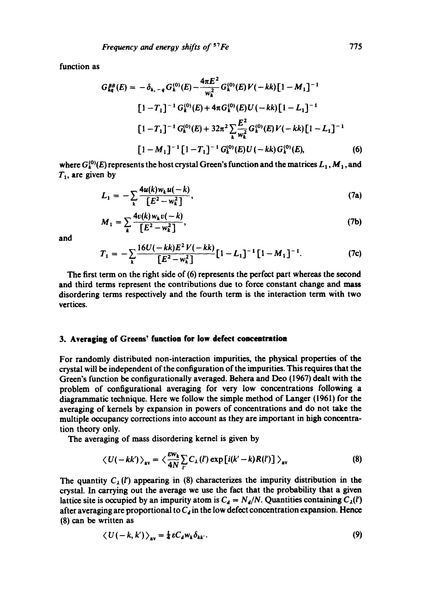function as

$$
G_{kq}^{BB}(E) = -\delta_{k,-q} G_{k}^{(0)}(E) - \frac{4\pi E^{2}}{w_{k}^{2}} G_{k}^{(0)}(E)V(-kk)[1-M_{1}]^{-1}
$$
  
\n
$$
[1-T_{1}]^{-1} G_{k}^{(0)}(E) + 4\pi G_{k}^{(0)}(E)U(-kk)[1-L_{1}]^{-1}
$$
  
\n
$$
[1-T_{1}]^{-1} G_{k}^{(0)}(E) + 32\pi^{2} \sum_{k} \frac{E^{2}}{w_{k}^{2}} G_{k}^{(0)}(E)V(-kk)[1-L_{1}]^{-1}
$$
  
\n
$$
[1-M_{1}]^{-1}[1-T_{1}]^{-1} G_{k}^{(0)}(E)U(-kk) G_{k}^{(0)}(E), \qquad (6)
$$

where  $G_k^{(0)}(E)$  represents the host crystal Green's function and the matrices  $L_1$ ,  $M_1$ , and  $T_1$ , are given by

$$
L_1 = -\sum_{k} \frac{4u(k)w_k u(-k)}{[E^2 - w_k^2]},
$$
 (7a)

$$
M_1 = \sum_{k} \frac{4v(k)w_k v(-k)}{[E^2 - w_k^2]},
$$
 (7b)

and

$$
T_1 = -\sum_{k} \frac{16U(-kk)E^2V(-kk)}{\left[E^2 - w_k^2\right]} \left[1 - L_1\right]^{-1} \left[1 - M_1\right]^{-1}.
$$
 (7c)

The first term on the right side of (6) represents the perfect part whereas the second and third terms represent the contributions due to force constant change and mass disordering terms respectively and the fourth term is the interaction term with two vertices.

# **3. Averaging of Greens' function for low defect concentration**

For randomly distributed non-interaction impurities, the physical properties of the crystal will be independent of the configuration of the impurities. This requires that the Green's function be configurationally averaged. Behera and Dee (1967) dealt with the problem of configurational averaging for very low concentrations following a diagrammatic technique. Here we follow the simple method of Langer (1961) for the averaging of kernels by expansion in powers of concentrations and do not take the multiple occupancy corrections into account as they are important in high concentration theory only.

The averaging of mass disordering kernel is given by

$$
\langle U(-kk')\rangle_{\rm av} = \langle \frac{\varepsilon w_k}{4N} \sum_{l'} C_{\lambda}(l') \exp[i(k'-k)R(l')] \rangle_{\rm av}
$$
 (8)

The quantity  $C_1(l')$  appearing in (8) characterizes the impurity distribution in the crystal. In carrying out the average we use the fact that the probability that a given lattice site is occupied by an impurity atom is  $C_d = N_d/N$ . Quantities containing  $C_1(l')$ after averaging are proportional to  $C<sub>d</sub>$  in the low defect concentration expansion. Hence (8) can be written as

$$
\langle U(-k, k') \rangle_{\rm av} = \frac{1}{4} \varepsilon C_a w_k \delta_{kk'}.
$$
 (9)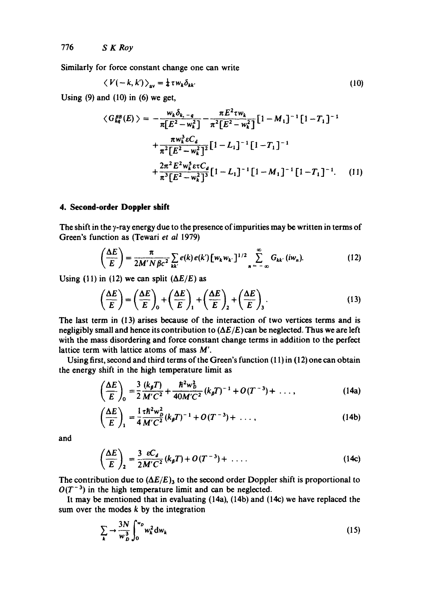776 *S K Roy* 

Similarly for force constant change one can write

$$
\langle V(-k,k') \rangle_{\rm av} = \frac{1}{4} \tau w_k \delta_{kk'} \tag{10}
$$

Using  $(9)$  and  $(10)$  in  $(6)$  we get,

$$
\langle G_{kq}^{BB}(E) \rangle = -\frac{w_k \delta_{k,-q}}{\pi [E^2 - w_k^2]} - \frac{\pi E^2 \tau w_k}{\pi^2 [E^2 - w_k^2]} [1 - M_1]^{-1} [1 - T_1]^{-1}
$$
  
+ 
$$
\frac{\pi w_k^3 \varepsilon C_d}{\pi^2 [E^2 - w_k^2]^2} [1 - L_1]^{-1} [1 - T_1]^{-1}
$$
  
+ 
$$
\frac{2\pi^2 E^2 w_k^5 \varepsilon \tau C_d}{\pi^3 [E^2 - w_k^2]^3} [1 - L_1]^{-1} [1 - M_1]^{-1} [1 - T_1]^{-1}.
$$
 (11)

#### **4. Second-order Doppler shift**

The shift in the  $\gamma$ -ray energy due to the presence of impurities may be written in terms of Green's function as (Tewari *et al* 1979)

$$
\left(\frac{\Delta E}{E}\right) = \frac{\pi}{2M'N\beta c^2} \sum_{kk'} e(k) e(k') \left[w_k w_{k'}\right]^{1/2} \sum_{n=-\infty}^{\infty} G_{kk'}(iw_n). \tag{12}
$$

Using (11) in (12) we can split  $(\Delta E/E)$  as

$$
\left(\frac{\Delta E}{E}\right) = \left(\frac{\Delta E}{E}\right)_0 + \left(\frac{\Delta E}{E}\right)_1 + \left(\frac{\Delta E}{E}\right)_2 + \left(\frac{\Delta E}{E}\right)_3.
$$
\n(13)

The last term in (13) arises because of the interaction of two vertices terms and is negligibly small and hence its contribution to *(AE/E)* can be neglected. Thus we are left with the mass disordering and force constant change terms in addition to the perfect lattice term with lattice atoms of mass  $M'$ .

Using first, second and third terms of the Green's function  $(11)$  in  $(12)$  one can obtain the energy shift in the high temperature limit as

$$
\left(\frac{\Delta E}{E}\right)_0 = \frac{3}{2}\frac{(k_\beta T)}{M'C^2} + \frac{\hbar^2 w_D^2}{40M'C^2}(k_\beta T)^{-1} + O(T^{-3}) + \dots,
$$
\n(14a)

$$
\left(\frac{\Delta E}{E}\right)_1 = \frac{1}{4} \frac{\tau \hbar^2 w_D^2}{M' C^2} (k_\rho T)^{-1} + O(T^{-3}) + \dots,
$$
\n(14b)

and

$$
\left(\frac{\Delta E}{E}\right)_2 = \frac{3}{2} \frac{\varepsilon C_d}{M'C^2} (k_\beta T) + O(T^{-3}) + \dots \tag{14c}
$$

The contribution due to  $(\Delta E/E)_3$  to the second order Doppler shift is proportional to  $O(T^{-3})$  in the high temperature limit and can be neglected.

It may be mentioned that in evaluating (14a), (14b) and (14c) we have replaced the sum over the modes  $k$  by the integration

$$
\sum_{k} \rightarrow \frac{3N}{w_{D}^{3}} \int_{0}^{w_{D}} w_{k}^{2} dw_{k}
$$
 (15)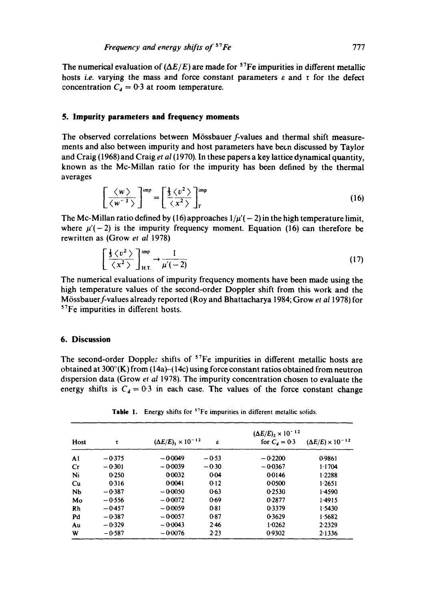The numerical evaluation of  $(\Delta E/E)$  are made for <sup>57</sup>Fe impurities in different metallic hosts *i.e.* varying the mass and force constant parameters  $\varepsilon$  and  $\tau$  for the defect concentration  $C_d = 0.3$  at room temperature.

## **5. Impurity parameters and frequency moments**

The observed correlations between Mössbauer f-values and thermal shift measurements and also between impurity and host parameters have been discussed by Taylor and Craig (1968) and Craig *et al* (1970). In these papers a key lattice dynamical quantity, known as the Mc-Millan ratio for the impurity has been defined by the thermal averages

$$
\left[\frac{\langle w \rangle}{\langle w^{-1} \rangle}\right]^{\text{imp}} = \left[\frac{\frac{1}{3}\langle v^2 \rangle}{\langle x^2 \rangle}\right]_T^{\text{imp}} \tag{16}
$$

The Mc-Millan ratio defined by (16) approaches  $1/\mu'(-2)$  in the high temperature limit, where  $\mu'(-2)$  is the impurity frequency moment. Equation (16) can therefore be rewritten as {Grow *et al* 1978)

$$
\left[\frac{\frac{1}{3}\left\langle v^2\right\rangle}{\left\langle x^2\right\rangle}\right]_{\text{H.T.}}^{\text{imp}} \to \frac{1}{\mu'(-2)}\tag{17}
$$

The numerical evaluations of impurity frequency moments have been made using the high temperature values of the second-order Doppler shift from this work and the M6ssbauerf-values already reported (Roy and Bhattacharya 1984; Grow *et al* 1978) for 57Fe impurities in different hosts.

## **6. Discussion**

The second-order Doppler shifts of <sup>57</sup>Fe impurities in different metallic hosts are obtained at  $300^{\circ}$ (K) from (14a)-(14c) using force constant ratios obtained from neutron dispersion data (Grow *et al* 1978). The impurity concentration chosen to evaluate the energy shifts is  $C<sub>4</sub> = 0.3$  in each case. The values of the force constant change

| Host | τ        | $(\Delta E/E)_1 \times 10^{-12}$ | ε       | $(\Delta E/E)_2 \times 10^{-12}$<br>for $C_4 = 0.3$ | $(\Delta E/E) \times 10^{-12}$ |
|------|----------|----------------------------------|---------|-----------------------------------------------------|--------------------------------|
| AI   | $-0.375$ | $-0.0049$                        | $-0.53$ | $-0.2200$                                           | 0.9861                         |
| Cr   | $-0.301$ | $-0.0039$                        | $-0.30$ | $-0.0367$                                           | 1.1704                         |
| Ni   | 0.250    | 0.0032                           | 0.04    | 00146                                               | 1.2288                         |
| Cu   | 0.316    | 0.0041                           | 0.12    | 0.0500                                              | 1.2651                         |
| Nb   | $-0.387$ | $-0.0050$                        | $0-63$  | 0.2530                                              | 1.4590                         |
| Mo   | $-0.556$ | $-0.0072$                        | 0.69    | 0.2877                                              | 1.4915                         |
| Rh   | $-0.457$ | $-0.0059$                        | 0.81    | 0.3379                                              | 1.5430                         |
| Pd   | $-0.387$ | $-0.0057$                        | $0-87$  | 0.3629                                              | 1.5682                         |
| Au   | $-0.329$ | $-0.0043$                        | 2.46    | 1.0262                                              | 2.2329                         |
| W    | $-0.587$ | $-0.0076$                        | 2.23    | 0.9302                                              | 2.1336                         |

Table 1. Energy shifts for <sup>57</sup>Fe impurities in different metallic solids.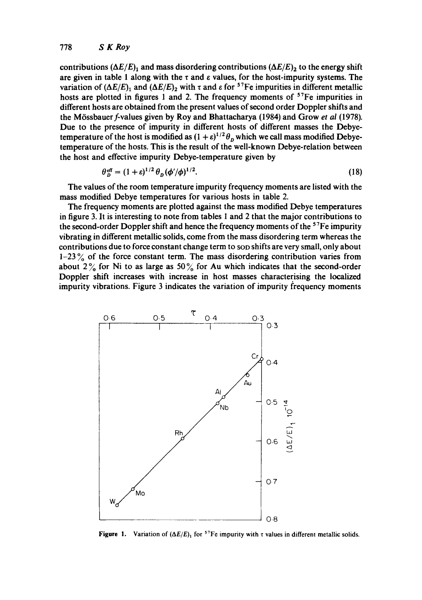#### 778 *S K Roy*

contributions  $(\Delta E/E)_1$  and mass disordering contributions  $(\Delta E/E)_2$  to the energy shift are given in table 1 along with the  $\tau$  and  $\varepsilon$  values, for the host-impurity systems. The variation of  $(\Delta E/E)$ <sub>1</sub> and  $(\Delta E/E)$ <sub>2</sub> with  $\tau$  and  $\varepsilon$  for <sup>57</sup>Fe impurities in different metallic hosts are plotted in figures 1 and 2. The frequency moments of  $57Fe$  impurities in different hosts are obtained from the present values of second order Doppler shifts and the M6ssbauerf-values given by Roy and Bhattacharya (1984) and Grow *et al* (1978). Due to the presence of impurity in different hosts of different masses the Debyetemperature of the host is modified as  $(1 + \varepsilon)^{1/2} \theta_n$  which we call mass modified Debyetemperature of the hosts. This is the result of the well-known Debye-relation between the host and effective impurity Debye-temperature given by

$$
\theta_n^{\text{eff}} = (1+\varepsilon)^{1/2} \theta_n (\phi'/\phi)^{1/2}.
$$
 (18)

The values of the room temperature impurity frequency moments are listed with the mass modified Debye temperatures for various hosts in table 2.

The frequency moments are plotted against the mass modified Debye temperatures in figure 3. It is interesting to note from tables 1 and 2 that the major contributions to the second-order Doppler shift and hence the frequency moments of the <sup>57</sup>Fe impurity vibrating in different metallic solids, come from the mass disordering term whereas the contributions due to force constant change term to SOD shifts are very small, only about 1-23 $\%$  of the force constant term. The mass disordering contribution varies from about 2% for Ni to as large as 50% for Au which indicates that the second-order Doppler shift increases with increase in host masses characterising the localized impurity vibrations. Figure 3 indicates the variation of impurity frequency moments



**Figure 1.** Variation of  $(\Delta E/E)$ <sup>1</sup> for <sup>57</sup>Fe impurity with  $\tau$  values in different metallic solids.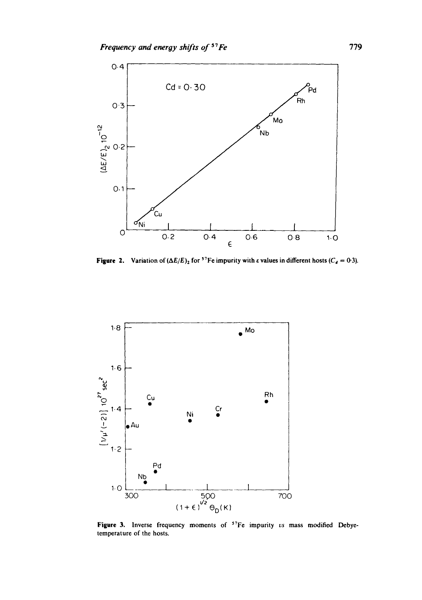

**Figure 2.** Variation of  $(\Delta E/E)_2$  for <sup>3</sup> Fe impurity with  $\varepsilon$  values in different hosts ( $C_d = 0.3$ ).



Figure 3. Inverse frequency moments of <sup>57</sup>Fe impurity *vs* mass modified Debyetemperature of the hosts.